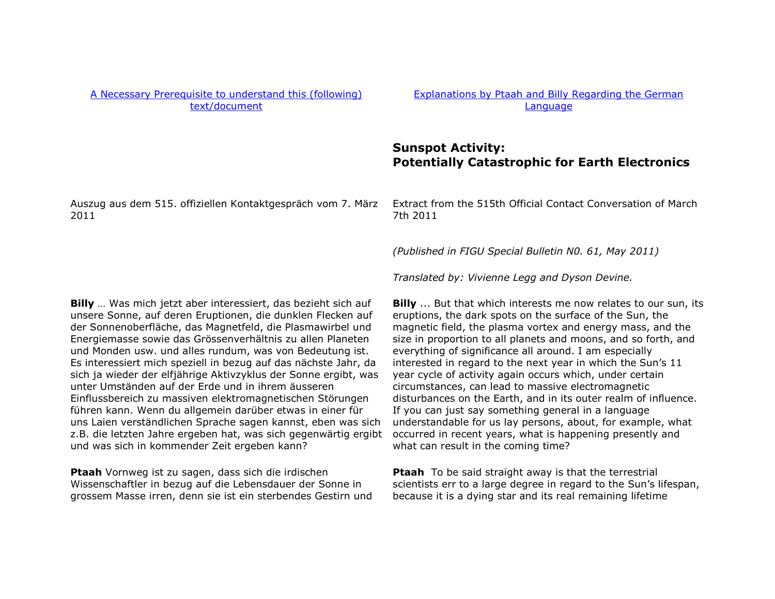## [A Necessary Prerequisite to understand this \(following\)](http://au.figu.org/necessary_prerequisite.html) [text/document](http://au.figu.org/necessary_prerequisite.html)

[Explanations by Ptaah and Billy Regarding the German](http://au.figu.org/german_explanations.html) [Language](http://au.figu.org/german_explanations.html)

## **Sunspot Activity: Potentially Catastrophic for Earth Electronics**

Auszug aus dem 515. offiziellen Kontaktgespräch vom 7. März 2011

Extract from the 515th Official Contact Conversation of March 7th 2011

*(Published in FIGU Special Bulletin N0. 61, May 2011)* 

*Translated by: Vivienne Legg and Dyson Devine.* 

**Billy** … Was mich jetzt aber interessiert, das bezieht sich auf unsere Sonne, auf deren Eruptionen, die dunklen Flecken auf der Sonnenoberfläche, das Magnetfeld, die Plasmawirbel und Energiemasse sowie das Grössenverhältnis zu allen Planeten und Monden usw. und alles rundum, was von Bedeutung ist. Es interessiert mich speziell in bezug auf das nächste Jahr, da sich ja wieder der elfjährige Aktivzyklus der Sonne ergibt, was unter Umständen auf der Erde und in ihrem äusseren Einflussbereich zu massiven elektromagnetischen Störungen führen kann. Wenn du allgemein darüber etwas in einer für uns Laien verständlichen Sprache sagen kannst, eben was sich z.B. die letzten Jahre ergeben hat, was sich gegenwärtig ergibt und was sich in kommender Zeit ergeben kann?

**Ptaah** Vornweg ist zu sagen, dass sich die irdischen Wissenschaftler in bezug auf die Lebensdauer der Sonne in grossem Masse irren, denn sie ist ein sterbendes Gestirn und

**Billy** ... But that which interests me now relates to our sun, its eruptions, the dark spots on the surface of the Sun, the magnetic field, the plasma vortex and energy mass, and the size in proportion to all planets and moons, and so forth, and everything of significance all around. I am especially interested in regard to the next year in which the Sun's 11 year cycle of activity again occurs which, under certain circumstances, can lead to massive electromagnetic disturbances on the Earth, and in its outer realm of influence. If you can just say something general in a language understandable for us lay persons, about, for example, what occurred in recent years, what is happening presently and what can result in the coming time?

**Ptaah** To be said straight away is that the terrestrial scientists err to a large degree in regard to the Sun's lifespan, because it is a dying star and its real remaining lifetime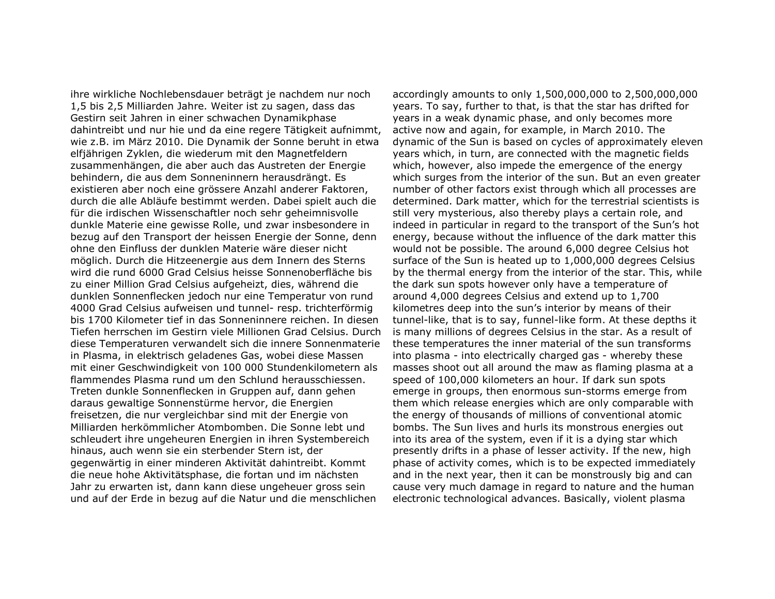ihre wirkliche Nochlebensdauer beträgt je nachdem nur noch 1,5 bis 2,5 Milliarden Jahre. Weiter ist zu sagen, dass das Gestirn seit Jahren in einer schwachen Dynamikphase dahintreibt und nur hie und da eine regere Tätigkeit aufnimmt, wie z.B. im März 2010. Die Dynamik der Sonne beruht in etwa elfjährigen Zyklen, die wiederum mit den Magnetfeldern zusammenhängen, die aber auch das Austreten der Energie behindern, die aus dem Sonneninnern herausdrängt. Es existieren aber noch eine grössere Anzahl anderer Faktoren, durch die alle Abläufe bestimmt werden. Dabei spielt auch die für die irdischen Wissenschaftler noch sehr geheimnisvolle dunkle Materie eine gewisse Rolle, und zwar insbesondere in bezug auf den Transport der heissen Energie der Sonne, denn ohne den Einfluss der dunklen Materie wäre dieser nicht möglich. Durch die Hitzeenergie aus dem Innern des Sterns wird die rund 6000 Grad Celsius heisse Sonnenoberfläche bis zu einer Million Grad Celsius aufgeheizt, dies, während die dunklen Sonnenflecken jedoch nur eine Temperatur von rund 4000 Grad Celsius aufweisen und tunnel- resp. trichterförmig bis 1700 Kilometer tief in das Sonneninnere reichen. In diesen Tiefen herrschen im Gestirn viele Millionen Grad Celsius. Durch diese Temperaturen verwandelt sich die innere Sonnenmaterie in Plasma, in elektrisch geladenes Gas, wobei diese Massen mit einer Geschwindigkeit von 100 000 Stundenkilometern als flammendes Plasma rund um den Schlund herausschiessen. Treten dunkle Sonnenflecken in Gruppen auf, dann gehen daraus gewaltige Sonnenstürme hervor, die Energien freisetzen, die nur vergleichbar sind mit der Energie von Milliarden herkömmlicher Atombomben. Die Sonne lebt und schleudert ihre ungeheuren Energien in ihren Systembereich hinaus, auch wenn sie ein sterbender Stern ist, der gegenwärtig in einer minderen Aktivität dahintreibt. Kommt die neue hohe Aktivitätsphase, die fortan und im nächsten Jahr zu erwarten ist, dann kann diese ungeheuer gross sein und auf der Erde in bezug auf die Natur und die menschlichen

accordingly amounts to only 1,500,000,000 to 2,500,000,000 years. To say, further to that, is that the star has drifted for years in a weak dynamic phase, and only becomes more active now and again, for example, in March 2010. The dynamic of the Sun is based on cycles of approximately eleven years which, in turn, are connected with the magnetic fields which, however, also impede the emergence of the energy which surges from the interior of the sun. But an even greater number of other factors exist through which all processes are determined. Dark matter, which for the terrestrial scientists is still very mysterious, also thereby plays a certain role, and indeed in particular in regard to the transport of the Sun's hot energy, because without the influence of the dark matter this would not be possible. The around 6,000 degree Celsius hot surface of the Sun is heated up to 1,000,000 degrees Celsius by the thermal energy from the interior of the star. This, while the dark sun spots however only have a temperature of around 4,000 degrees Celsius and extend up to 1,700 kilometres deep into the sun's interior by means of their tunnel-like, that is to say, funnel-like form. At these depths it is many millions of degrees Celsius in the star. As a result of these temperatures the inner material of the sun transforms into plasma - into electrically charged gas - whereby these masses shoot out all around the maw as flaming plasma at a speed of 100,000 kilometers an hour. If dark sun spots emerge in groups, then enormous sun-storms emerge from them which release energies which are only comparable with the energy of thousands of millions of conventional atomic bombs. The Sun lives and hurls its monstrous energies out into its area of the system, even if it is a dying star which presently drifts in a phase of lesser activity. If the new, high phase of activity comes, which is to be expected immediately and in the next year, then it can be monstrously big and can cause very much damage in regard to nature and the human electronic technological advances. Basically, violent plasma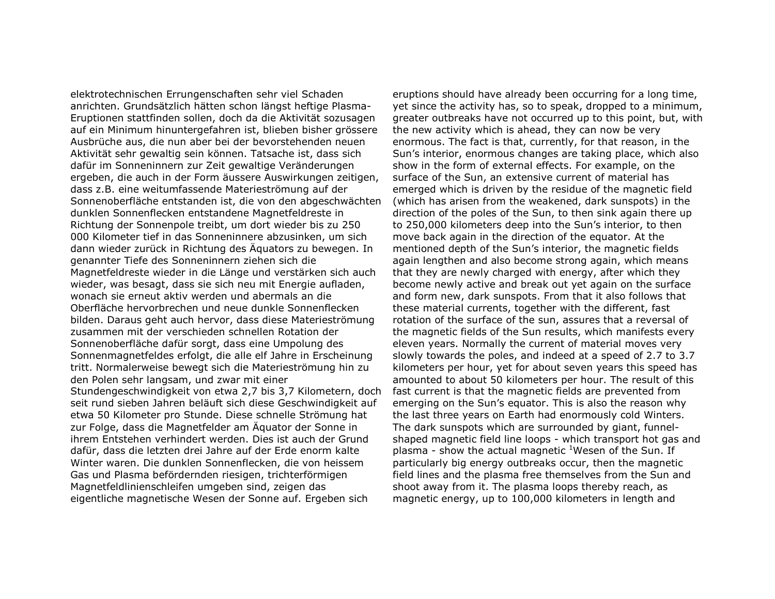elektrotechnischen Errungenschaften sehr viel Schaden anrichten. Grundsätzlich hätten schon längst heftige Plasma-Eruptionen stattfinden sollen, doch da die Aktivität sozusagen auf ein Minimum hinuntergefahren ist, blieben bisher grössere Ausbrüche aus, die nun aber bei der bevorstehenden neuen Aktivität sehr gewaltig sein können. Tatsache ist, dass sich dafür im Sonneninnern zur Zeit gewaltige Veränderungen ergeben, die auch in der Form äussere Auswirkungen zeitigen, dass z.B. eine weitumfassende Materieströmung auf der Sonnenoberfläche entstanden ist, die von den abgeschwächten dunklen Sonnenflecken entstandene Magnetfeldreste in Richtung der Sonnenpole treibt, um dort wieder bis zu 250 000 Kilometer tief in das Sonneninnere abzusinken, um sich dann wieder zurück in Richtung des Äquators zu bewegen. In genannter Tiefe des Sonneninnern ziehen sich die Magnetfeldreste wieder in die Länge und verstärken sich auch wieder, was besagt, dass sie sich neu mit Energie aufladen, wonach sie erneut aktiv werden und abermals an die Oberfläche hervorbrechen und neue dunkle Sonnenflecken bilden. Daraus geht auch hervor, dass diese Materieströmung zusammen mit der verschieden schnellen Rotation der Sonnenoberfläche dafür sorgt, dass eine Umpolung des Sonnenmagnetfeldes erfolgt, die alle elf Jahre in Erscheinung tritt. Normalerweise bewegt sich die Materieströmung hin zu den Polen sehr langsam, und zwar mit einer Stundengeschwindigkeit von etwa 2,7 bis 3,7 Kilometern, doch seit rund sieben Jahren beläuft sich diese Geschwindigkeit auf etwa 50 Kilometer pro Stunde. Diese schnelle Strömung hat zur Folge, dass die Magnetfelder am Äquator der Sonne in ihrem Entstehen verhindert werden. Dies ist auch der Grund dafür, dass die letzten drei Jahre auf der Erde enorm kalte Winter waren. Die dunklen Sonnenflecken, die von heissem Gas und Plasma befördernden riesigen, trichterförmigen Magnetfeldlinienschleifen umgeben sind, zeigen das eigentliche magnetische Wesen der Sonne auf. Ergeben sich

eruptions should have already been occurring for a long time, yet since the activity has, so to speak, dropped to a minimum, greater outbreaks have not occurred up to this point, but, with the new activity which is ahead, they can now be very enormous. The fact is that, currently, for that reason, in the Sun's interior, enormous changes are taking place, which also show in the form of external effects. For example, on the surface of the Sun, an extensive current of material has emerged which is driven by the residue of the magnetic field (which has arisen from the weakened, dark sunspots) in the direction of the poles of the Sun, to then sink again there up to 250,000 kilometers deep into the Sun's interior, to then move back again in the direction of the equator. At the mentioned depth of the Sun's interior, the magnetic fields again lengthen and also become strong again, which means that they are newly charged with energy, after which they become newly active and break out yet again on the surface and form new, dark sunspots. From that it also follows that these material currents, together with the different, fast rotation of the surface of the sun, assures that a reversal of the magnetic fields of the Sun results, which manifests every eleven years. Normally the current of material moves very slowly towards the poles, and indeed at a speed of 2.7 to 3.7 kilometers per hour, yet for about seven years this speed has amounted to about 50 kilometers per hour. The result of this fast current is that the magnetic fields are prevented from emerging on the Sun's equator. This is also the reason why the last three years on Earth had enormously cold Winters. The dark sunspots which are surrounded by giant, funnelshaped magnetic field line loops - which transport hot gas and plasma - show the actual magnetic <sup>1</sup>Wesen of the Sun. If particularly big energy outbreaks occur, then the magnetic field lines and the plasma free themselves from the Sun and shoot away from it. The plasma loops thereby reach, as magnetic energy, up to 100,000 kilometers in length and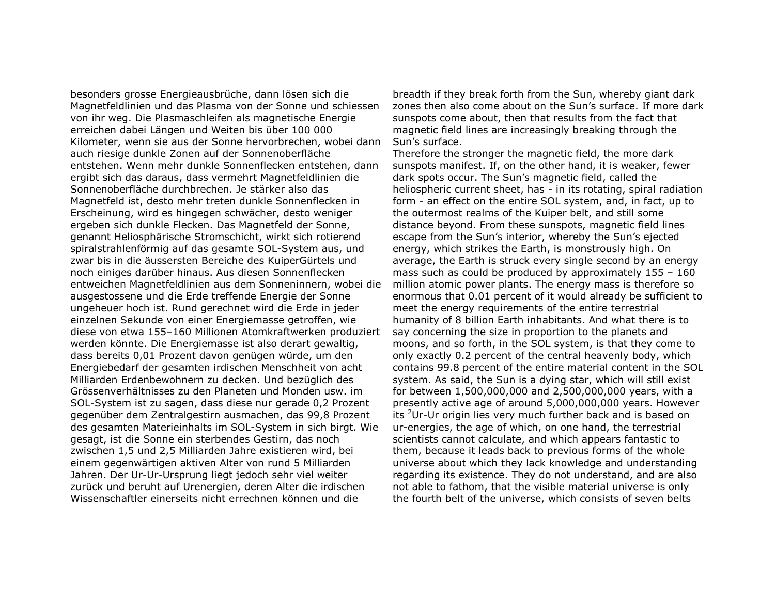besonders grosse Energieausbrüche, dann lösen sich die Magnetfeldlinien und das Plasma von der Sonne und schiessen von ihr weg. Die Plasmaschleifen als magnetische Energie erreichen dabei Längen und Weiten bis über 100 000 Kilometer, wenn sie aus der Sonne hervorbrechen, wobei dann auch riesige dunkle Zonen auf der Sonnenoberfläche entstehen. Wenn mehr dunkle Sonnenflecken entstehen, dann ergibt sich das daraus, dass vermehrt Magnetfeldlinien die Sonnenoberfläche durchbrechen. Je stärker also das Magnetfeld ist, desto mehr treten dunkle Sonnenflecken in Erscheinung, wird es hingegen schwächer, desto weniger ergeben sich dunkle Flecken. Das Magnetfeld der Sonne, genannt Heliosphärische Stromschicht, wirkt sich rotierend spiralstrahlenförmig auf das gesamte SOL-System aus, und zwar bis in die äussersten Bereiche des KuiperGürtels und noch einiges darüber hinaus. Aus diesen Sonnenflecken entweichen Magnetfeldlinien aus dem Sonneninnern, wobei die ausgestossene und die Erde treffende Energie der Sonne ungeheuer hoch ist. Rund gerechnet wird die Erde in jeder einzelnen Sekunde von einer Energiemasse getroffen, wie diese von etwa 155–160 Millionen Atomkraftwerken produziert werden könnte. Die Energiemasse ist also derart gewaltig, dass bereits 0,01 Prozent davon genügen würde, um den Energiebedarf der gesamten irdischen Menschheit von acht Milliarden Erdenbewohnern zu decken. Und bezüglich des Grössenverhältnisses zu den Planeten und Monden usw. im SOL-System ist zu sagen, dass diese nur gerade 0,2 Prozent gegenüber dem Zentralgestirn ausmachen, das 99,8 Prozent des gesamten Materieinhalts im SOL-System in sich birgt. Wie gesagt, ist die Sonne ein sterbendes Gestirn, das noch zwischen 1,5 und 2,5 Milliarden Jahre existieren wird, bei einem gegenwärtigen aktiven Alter von rund 5 Milliarden Jahren. Der Ur-Ur-Ursprung liegt jedoch sehr viel weiter zurück und beruht auf Urenergien, deren Alter die irdischen Wissenschaftler einerseits nicht errechnen können und die

breadth if they break forth from the Sun, whereby giant dark zones then also come about on the Sun's surface. If more dark sunspots come about, then that results from the fact that magnetic field lines are increasingly breaking through the Sun's surface.

 Therefore the stronger the magnetic field, the more dark sunspots manifest. If, on the other hand, it is weaker, fewer dark spots occur. The Sun's magnetic field, called the heliospheric current sheet, has - in its rotating, spiral radiation form - an effect on the entire SOL system, and, in fact, up to the outermost realms of the Kuiper belt, and still some distance beyond. From these sunspots, magnetic field lines escape from the Sun's interior, whereby the Sun's ejected energy, which strikes the Earth, is monstrously high. On average, the Earth is struck every single second by an energy mass such as could be produced by approximately 155 – 160 million atomic power plants. The energy mass is therefore so enormous that 0.01 percent of it would already be sufficient to meet the energy requirements of the entire terrestrial humanity of 8 billion Earth inhabitants. And what there is to say concerning the size in proportion to the planets and moons, and so forth, in the SOL system, is that they come to only exactly 0.2 percent of the central heavenly body, which contains 99.8 percent of the entire material content in the SOL system. As said, the Sun is a dying star, which will still exist for between 1,500,000,000 and 2,500,000,000 years, with a presently active age of around 5,000,000,000 years. However its <sup>2</sup>Ur-Ur origin lies very much further back and is based on ur-energies, the age of which, on one hand, the terrestrial scientists cannot calculate, and which appears fantastic to them, because it leads back to previous forms of the whole universe about which they lack knowledge and understanding regarding its existence. They do not understand, and are also not able to fathom, that the visible material universe is only the fourth belt of the universe, which consists of seven belts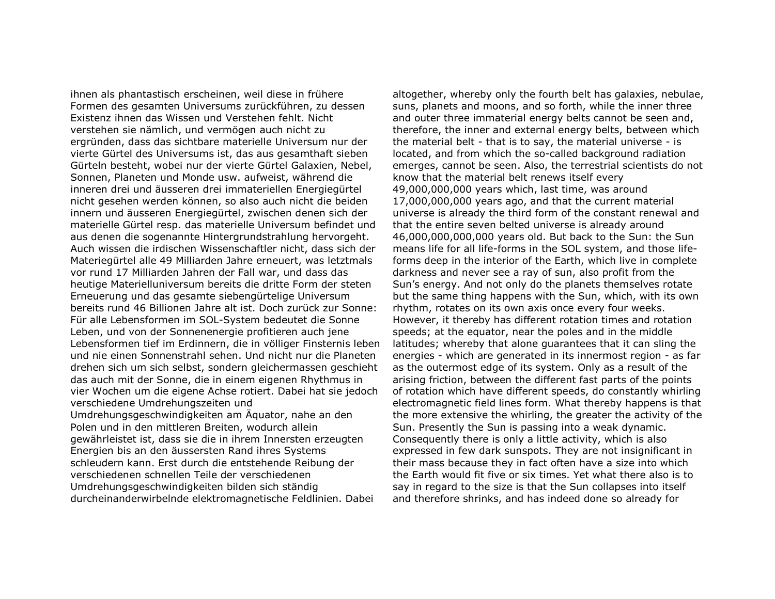ihnen als phantastisch erscheinen, weil diese in frühere Formen des gesamten Universums zurückführen, zu dessen Existenz ihnen das Wissen und Verstehen fehlt. Nicht verstehen sie nämlich, und vermögen auch nicht zu ergründen, dass das sichtbare materielle Universum nur der vierte Gürtel des Universums ist, das aus gesamthaft sieben Gürteln besteht, wobei nur der vierte Gürtel Galaxien, Nebel, Sonnen, Planeten und Monde usw. aufweist, während die inneren drei und äusseren drei immateriellen Energiegürtel nicht gesehen werden können, so also auch nicht die beiden innern und äusseren Energiegürtel, zwischen denen sich der materielle Gürtel resp. das materielle Universum befindet und aus denen die sogenannte Hintergrundstrahlung hervorgeht. Auch wissen die irdischen Wissenschaftler nicht, dass sich der Materiegürtel alle 49 Milliarden Jahre erneuert, was letztmals vor rund 17 Milliarden Jahren der Fall war, und dass das heutige Materielluniversum bereits die dritte Form der steten Erneuerung und das gesamte siebengürtelige Universum bereits rund 46 Billionen Jahre alt ist. Doch zurück zur Sonne: Für alle Lebensformen im SOL-System bedeutet die Sonne Leben, und von der Sonnenenergie profitieren auch jene Lebensformen tief im Erdinnern, die in völliger Finsternis leben und nie einen Sonnenstrahl sehen. Und nicht nur die Planeten drehen sich um sich selbst, sondern gleichermassen geschieht das auch mit der Sonne, die in einem eigenen Rhythmus in vier Wochen um die eigene Achse rotiert. Dabei hat sie jedoch verschiedene Umdrehungszeiten und Umdrehungsgeschwindigkeiten am Äquator, nahe an denPolen und in den mittleren Breiten, wodurch allein gewährleistet ist, dass sie die in ihrem Innersten erzeugten Energien bis an den äussersten Rand ihres Systems schleudern kann. Erst durch die entstehende Reibung der verschiedenen schnellen Teile der verschiedenen Umdrehungsgeschwindigkeiten bilden sich ständig

durcheinanderwirbelnde elektromagnetische Feldlinien. Dabei

altogether, whereby only the fourth belt has galaxies, nebulae, suns, planets and moons, and so forth, while the inner three and outer three immaterial energy belts cannot be seen and, therefore, the inner and external energy belts, between which the material belt - that is to say, the material universe - is located, and from which the so-called background radiation emerges, cannot be seen. Also, the terrestrial scientists do not know that the material belt renews itself every 49,000,000,000 years which, last time, was around 17,000,000,000 years ago, and that the current material universe is already the third form of the constant renewal and that the entire seven belted universe is already around 46,000,000,000,000 years old. But back to the Sun: the Sun means life for all life-forms in the SOL system, and those lifeforms deep in the interior of the Earth, which live in complete darkness and never see a ray of sun, also profit from the Sun's energy. And not only do the planets themselves rotate but the same thing happens with the Sun, which, with its own rhythm, rotates on its own axis once every four weeks. However, it thereby has different rotation times and rotation speeds; at the equator, near the poles and in the middle latitudes; whereby that alone guarantees that it can sling the energies - which are generated in its innermost region - as far as the outermost edge of its system. Only as a result of the arising friction, between the different fast parts of the points of rotation which have different speeds, do constantly whirling electromagnetic field lines form. What thereby happens is that the more extensive the whirling, the greater the activity of the Sun. Presently the Sun is passing into a weak dynamic. Consequently there is only a little activity, which is also expressed in few dark sunspots. They are not insignificant in their mass because they in fact often have a size into which the Earth would fit five or six times. Yet what there also is to say in regard to the size is that the Sun collapses into itself and therefore shrinks, and has indeed done so already for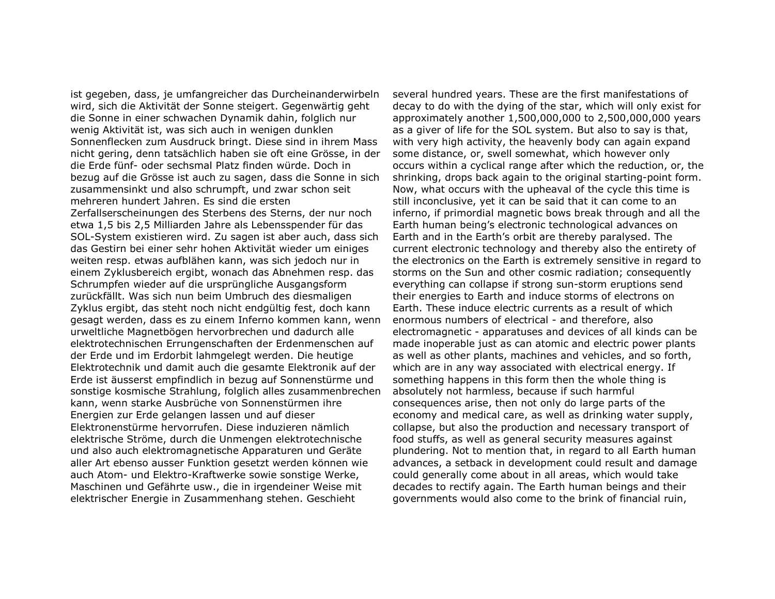ist gegeben, dass, je umfangreicher das Durcheinanderwirbeln wird, sich die Aktivität der Sonne steigert. Gegenwärtig geht die Sonne in einer schwachen Dynamik dahin, folglich nur wenig Aktivität ist, was sich auch in wenigen dunklen Sonnenflecken zum Ausdruck bringt. Diese sind in ihrem Mass nicht gering, denn tatsächlich haben sie oft eine Grösse, in der die Erde fünf- oder sechsmal Platz finden würde. Doch in bezug auf die Grösse ist auch zu sagen, dass die Sonne in sich zusammensinkt und also schrumpft, und zwar schon seit mehreren hundert Jahren. Es sind die ersten Zerfallserscheinungen des Sterbens des Sterns, der nur noch etwa 1,5 bis 2,5 Milliarden Jahre als Lebensspender für das SOL-System existieren wird. Zu sagen ist aber auch, dass sich das Gestirn bei einer sehr hohen Aktivität wieder um einiges weiten resp. etwas aufblähen kann, was sich jedoch nur in einem Zyklusbereich ergibt, wonach das Abnehmen resp. das Schrumpfen wieder auf die ursprüngliche Ausgangsform zurückfällt. Was sich nun beim Umbruch des diesmaligen Zyklus ergibt, das steht noch nicht endgültig fest, doch kann gesagt werden, dass es zu einem Inferno kommen kann, wenn urweltliche Magnetbögen hervorbrechen und dadurch alle elektrotechnischen Errungenschaften der Erdenmenschen auf der Erde und im Erdorbit lahmgelegt werden. Die heutige Elektrotechnik und damit auch die gesamte Elektronik auf der Erde ist äusserst empfindlich in bezug auf Sonnenstürme und sonstige kosmische Strahlung, folglich alles zusammenbrechen kann, wenn starke Ausbrüche von Sonnenstürmen ihre Energien zur Erde gelangen lassen und auf dieser Elektronenstürme hervorrufen. Diese induzieren nämlich elektrische Ströme, durch die Unmengen elektrotechnische und also auch elektromagnetische Apparaturen und Geräte aller Art ebenso ausser Funktion gesetzt werden können wie auch Atom- und Elektro-Kraftwerke sowie sonstige Werke, Maschinen und Gefährte usw., die in irgendeiner Weise mit elektrischer Energie in Zusammenhang stehen. Geschieht

several hundred years. These are the first manifestations of decay to do with the dying of the star, which will only exist for approximately another 1,500,000,000 to 2,500,000,000 years as a giver of life for the SOL system. But also to say is that, with very high activity, the heavenly body can again expand some distance, or, swell somewhat, which however only occurs within a cyclical range after which the reduction, or, the shrinking, drops back again to the original starting-point form. Now, what occurs with the upheaval of the cycle this time is still inconclusive, yet it can be said that it can come to an inferno, if primordial magnetic bows break through and all the Earth human being's electronic technological advances on Earth and in the Earth's orbit are thereby paralysed. The current electronic technology and thereby also the entirety of the electronics on the Earth is extremely sensitive in regard to storms on the Sun and other cosmic radiation; consequently everything can collapse if strong sun-storm eruptions send their energies to Earth and induce storms of electrons on Earth. These induce electric currents as a result of which enormous numbers of electrical - and therefore, also electromagnetic - apparatuses and devices of all kinds can be made inoperable just as can atomic and electric power plants as well as other plants, machines and vehicles, and so forth, which are in any way associated with electrical energy. If something happens in this form then the whole thing is absolutely not harmless, because if such harmful consequences arise, then not only do large parts of the economy and medical care, as well as drinking water supply, collapse, but also the production and necessary transport of food stuffs, as well as general security measures against plundering. Not to mention that, in regard to all Earth human advances, a setback in development could result and damage could generally come about in all areas, which would take decades to rectify again. The Earth human beings and their governments would also come to the brink of financial ruin,